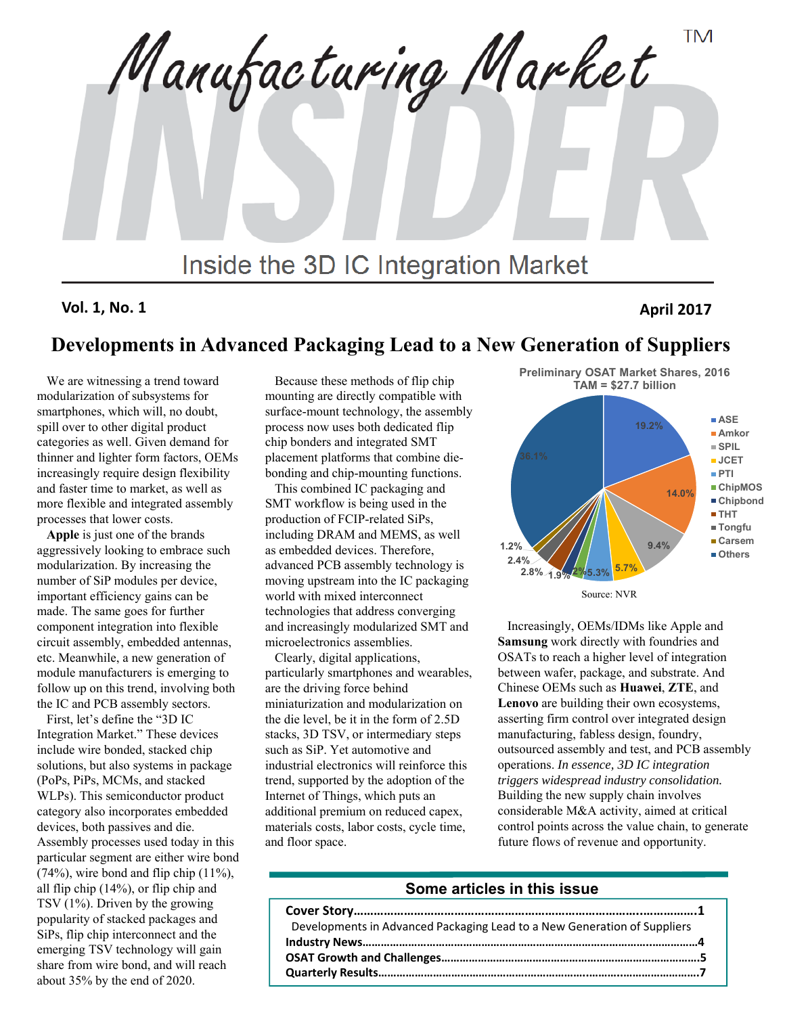**TM** Manufacturing Market Inside the 3D IC Integration Market

**Vol. 1, No. 1 April 2017**

### **Developments in Advanced Packaging Lead to a New Generation of Suppliers**

We are witnessing a trend toward modularization of subsystems for smartphones, which will, no doubt, spill over to other digital product categories as well. Given demand for thinner and lighter form factors, OEMs increasingly require design flexibility and faster time to market, as well as more flexible and integrated assembly processes that lower costs.

**Apple** is just one of the brands aggressively looking to embrace such modularization. By increasing the number of SiP modules per device, important efficiency gains can be made. The same goes for further component integration into flexible circuit assembly, embedded antennas, etc. Meanwhile, a new generation of module manufacturers is emerging to follow up on this trend, involving both the IC and PCB assembly sectors.

First, let's define the "3D IC Integration Market." These devices include wire bonded, stacked chip solutions, but also systems in package (PoPs, PiPs, MCMs, and stacked WLPs). This semiconductor product category also incorporates embedded devices, both passives and die. Assembly processes used today in this particular segment are either wire bond  $(74%)$ , wire bond and flip chip  $(11%)$ , all flip chip (14%), or flip chip and TSV (1%). Driven by the growing popularity of stacked packages and SiPs, flip chip interconnect and the emerging TSV technology will gain share from wire bond, and will reach about 35% by the end of 2020.

Because these methods of flip chip mounting are directly compatible with surface-mount technology, the assembly process now uses both dedicated flip chip bonders and integrated SMT placement platforms that combine diebonding and chip-mounting functions.

This combined IC packaging and SMT workflow is being used in the production of FCIP-related SiPs, including DRAM and MEMS, as well as embedded devices. Therefore, advanced PCB assembly technology is moving upstream into the IC packaging world with mixed interconnect technologies that address converging and increasingly modularized SMT and microelectronics assemblies.

Clearly, digital applications, particularly smartphones and wearables, are the driving force behind miniaturization and modularization on the die level, be it in the form of 2.5D stacks, 3D TSV, or intermediary steps such as SiP. Yet automotive and industrial electronics will reinforce this trend, supported by the adoption of the Internet of Things, which puts an additional premium on reduced capex, materials costs, labor costs, cycle time, and floor space.



Increasingly, OEMs/IDMs like Apple and **Samsung** work directly with foundries and OSATs to reach a higher level of integration between wafer, package, and substrate. And Chinese OEMs such as **Huawei**, **ZTE**, and **Lenovo** are building their own ecosystems, asserting firm control over integrated design manufacturing, fabless design, foundry, outsourced assembly and test, and PCB assembly operations. *In essence, 3D IC integration triggers widespread industry consolidation.* Building the new supply chain involves considerable M&A activity, aimed at critical control points across the value chain, to generate future flows of revenue and opportunity.

#### **Some articles in this issue**

| Developments in Advanced Packaging Lead to a New Generation of Suppliers |
|--------------------------------------------------------------------------|
|                                                                          |
|                                                                          |
|                                                                          |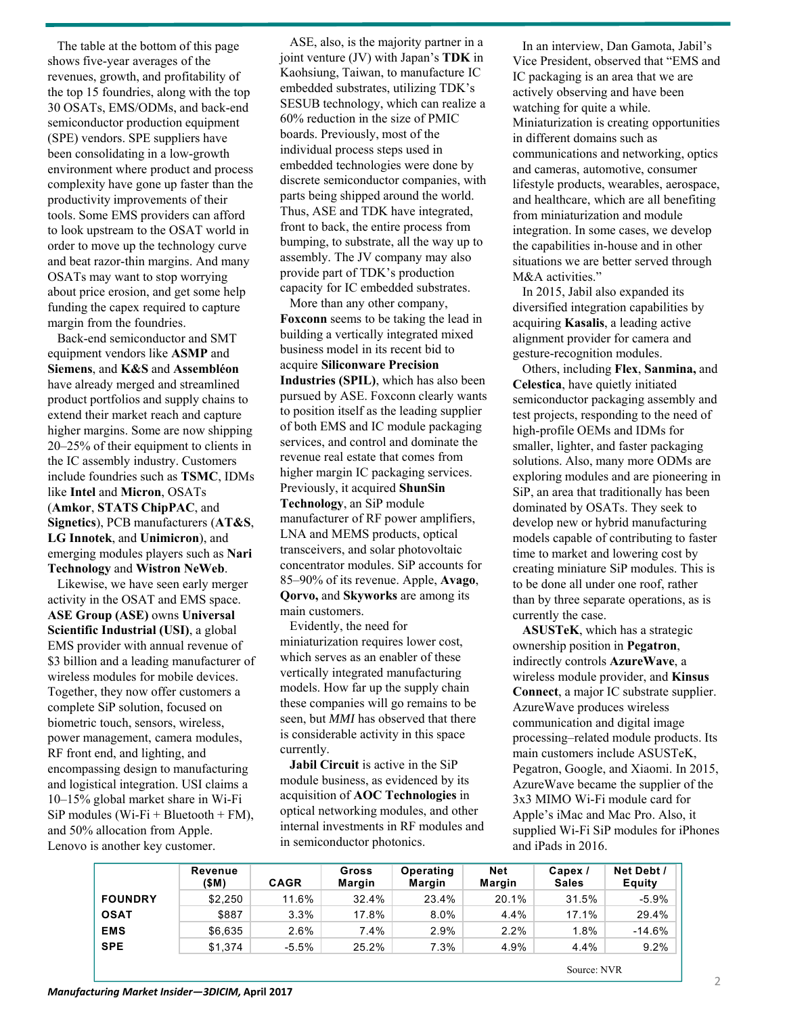The table at the bottom of this page shows five-year averages of the revenues, growth, and profitability of the top 15 foundries, along with the top 30 OSATs, EMS/ODMs, and back-end semiconductor production equipment (SPE) vendors. SPE suppliers have been consolidating in a low-growth environment where product and process complexity have gone up faster than the productivity improvements of their tools. Some EMS providers can afford to look upstream to the OSAT world in order to move up the technology curve and beat razor-thin margins. And many OSATs may want to stop worrying about price erosion, and get some help funding the capex required to capture margin from the foundries.

Back-end semiconductor and SMT equipment vendors like **ASMP** and **Siemens**, and **K&S** and **Assembléon** have already merged and streamlined product portfolios and supply chains to extend their market reach and capture higher margins. Some are now shipping 20–25% of their equipment to clients in the IC assembly industry. Customers include foundries such as **TSMC**, IDMs like **Intel** and **Micron**, OSATs (**Amkor**, **STATS ChipPAC**, and **Signetics**), PCB manufacturers (**AT&S**, **LG Innotek**, and **Unimicron**), and emerging modules players such as **Nari Technology** and **Wistron NeWeb**.

Likewise, we have seen early merger activity in the OSAT and EMS space. **ASE Group (ASE)** owns **Universal Scientific Industrial (USI)**, a global EMS provider with annual revenue of \$3 billion and a leading manufacturer of wireless modules for mobile devices. Together, they now offer customers a complete SiP solution, focused on biometric touch, sensors, wireless, power management, camera modules, RF front end, and lighting, and encompassing design to manufacturing and logistical integration. USI claims a 10–15% global market share in Wi-Fi SiP modules (Wi-Fi + Bluetooth + FM), and 50% allocation from Apple. Lenovo is another key customer.

ASE, also, is the majority partner in a joint venture (JV) with Japan's **TDK** in Kaohsiung, Taiwan, to manufacture IC embedded substrates, utilizing TDK's SESUB technology, which can realize a 60% reduction in the size of PMIC boards. Previously, most of the individual process steps used in embedded technologies were done by discrete semiconductor companies, with parts being shipped around the world. Thus, ASE and TDK have integrated, front to back, the entire process from bumping, to substrate, all the way up to assembly. The JV company may also provide part of TDK's production capacity for IC embedded substrates.

More than any other company, **Foxconn** seems to be taking the lead in building a vertically integrated mixed business model in its recent bid to acquire **Siliconware Precision Industries (SPIL)**, which has also been pursued by ASE. Foxconn clearly wants to position itself as the leading supplier of both EMS and IC module packaging services, and control and dominate the revenue real estate that comes from higher margin IC packaging services. Previously, it acquired **ShunSin Technology**, an SiP module manufacturer of RF power amplifiers, LNA and MEMS products, optical transceivers, and solar photovoltaic concentrator modules. SiP accounts for 85–90% of its revenue. Apple, **Avago**, **Qorvo,** and **Skyworks** are among its main customers.

Evidently, the need for miniaturization requires lower cost, which serves as an enabler of these vertically integrated manufacturing models. How far up the supply chain these companies will go remains to be seen, but *MMI* has observed that there is considerable activity in this space currently.

**Jabil Circuit** is active in the SiP module business, as evidenced by its acquisition of **AOC Technologies** in optical networking modules, and other internal investments in RF modules and in semiconductor photonics.

In an interview, Dan Gamota, Jabil's Vice President, observed that "EMS and IC packaging is an area that we are actively observing and have been watching for quite a while. Miniaturization is creating opportunities in different domains such as communications and networking, optics and cameras, automotive, consumer lifestyle products, wearables, aerospace, and healthcare, which are all benefiting from miniaturization and module integration. In some cases, we develop the capabilities in-house and in other situations we are better served through M&A activities."

In 2015, Jabil also expanded its diversified integration capabilities by acquiring **Kasalis**, a leading active alignment provider for camera and gesture-recognition modules.

Others, including **Flex**, **Sanmina,** and **Celestica**, have quietly initiated semiconductor packaging assembly and test projects, responding to the need of high-profile OEMs and IDMs for smaller, lighter, and faster packaging solutions. Also, many more ODMs are exploring modules and are pioneering in SiP, an area that traditionally has been dominated by OSATs. They seek to develop new or hybrid manufacturing models capable of contributing to faster time to market and lowering cost by creating miniature SiP modules. This is to be done all under one roof, rather than by three separate operations, as is currently the case.

**ASUSTeK**, which has a strategic ownership position in **Pegatron**, indirectly controls **AzureWave**, a wireless module provider, and **Kinsus Connect**, a major IC substrate supplier. AzureWave produces wireless communication and digital image processing–related module products. Its main customers include ASUSTeK, Pegatron, Google, and Xiaomi. In 2015, AzureWave became the supplier of the 3x3 MIMO Wi-Fi module card for Apple's iMac and Mac Pro. Also, it supplied Wi-Fi SiP modules for iPhones and iPads in 2016.

|                | Revenue<br>(\$M) | <b>CAGR</b> | Gross<br><b>Margin</b> | Operating<br><b>Margin</b> | <b>Net</b><br>Margin | Capex /<br><b>Sales</b> | Net Debt /<br><b>Equity</b> |
|----------------|------------------|-------------|------------------------|----------------------------|----------------------|-------------------------|-----------------------------|
| <b>FOUNDRY</b> | \$2.250          | 11.6%       | 32.4%                  | 23.4%                      | 20.1%                | 31.5%                   | $-5.9%$                     |
| <b>OSAT</b>    | \$887            | 3.3%        | 17.8%                  | 8.0%                       | 4.4%                 | 17.1%                   | 29.4%                       |
| <b>EMS</b>     | \$6,635          | 2.6%        | 7.4%                   | 2.9%                       | 2.2%                 | 1.8%                    | $-14.6%$                    |
| <b>SPE</b>     | \$1,374          | $-5.5\%$    | 25.2%                  | 7.3%                       | 4.9%                 | 4.4%                    | 9.2%                        |

Source: NVR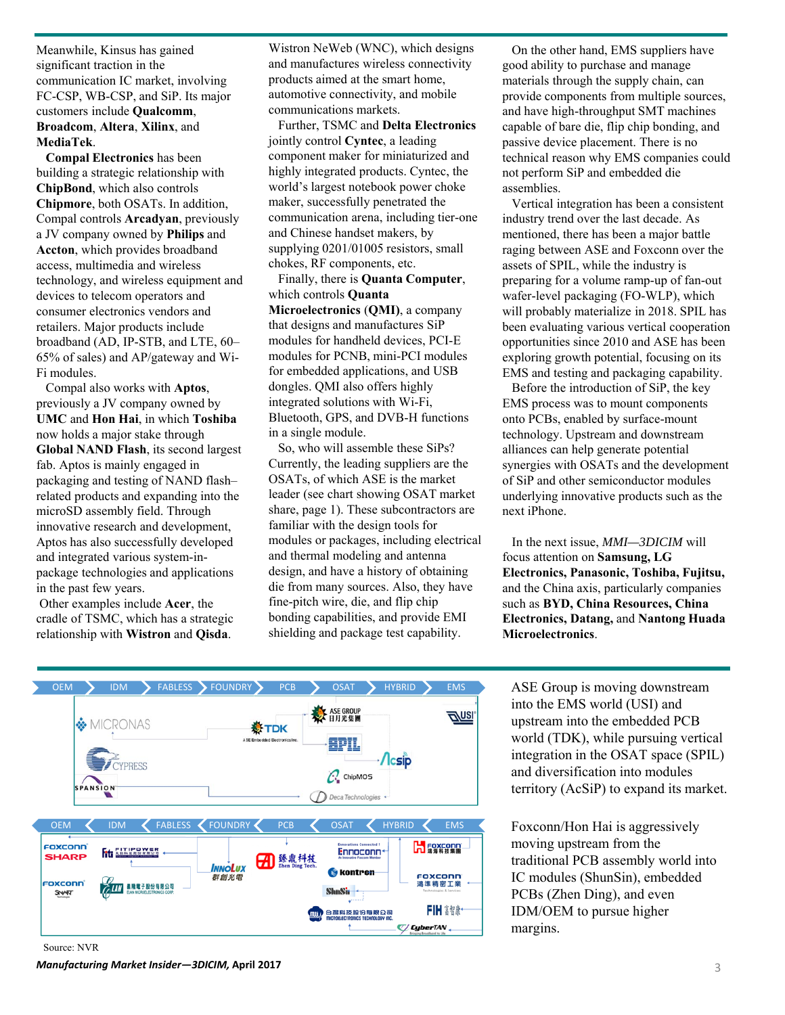Meanwhile, Kinsus has gained significant traction in the communication IC market, involving FC-CSP, WB-CSP, and SiP. Its major customers include **Qualcomm**, **Broadcom**, **Altera**, **Xilinx**, and **MediaTek**.

**Compal Electronics** has been building a strategic relationship with **ChipBond**, which also controls **Chipmore**, both OSATs. In addition, Compal controls **Arcadyan**, previously a JV company owned by **Philips** and **Accton**, which provides broadband access, multimedia and wireless technology, and wireless equipment and devices to telecom operators and consumer electronics vendors and retailers. Major products include broadband (AD, IP-STB, and LTE, 60– 65% of sales) and AP/gateway and Wi-Fi modules.

Compal also works with **Aptos**, previously a JV company owned by **UMC** and **Hon Hai**, in which **Toshiba** now holds a major stake through **Global NAND Flash**, its second largest fab. Aptos is mainly engaged in packaging and testing of NAND flash– related products and expanding into the microSD assembly field. Through innovative research and development, Aptos has also successfully developed and integrated various system-inpackage technologies and applications in the past few years.

Other examples include **Acer**, the cradle of TSMC, which has a strategic relationship with **Wistron** and **Qisda**.

Wistron NeWeb (WNC), which designs and manufactures wireless connectivity products aimed at the smart home, automotive connectivity, and mobile communications markets.

Further, TSMC and **Delta Electronics**  jointly control **Cyntec**, a leading component maker for miniaturized and highly integrated products. Cyntec, the world's largest notebook power choke maker, successfully penetrated the communication arena, including tier-one and Chinese handset makers, by supplying 0201/01005 resistors, small chokes, RF components, etc.

Finally, there is **Quanta Computer**, which controls **Quanta Microelectronics** (**QMI)**, a company

that designs and manufactures SiP modules for handheld devices, PCI-E modules for PCNB, mini-PCI modules for embedded applications, and USB dongles. QMI also offers highly integrated solutions with Wi-Fi, Bluetooth, GPS, and DVB-H functions in a single module.

So, who will assemble these SiPs? Currently, the leading suppliers are the OSATs, of which ASE is the market leader (see chart showing OSAT market share, page 1). These subcontractors are familiar with the design tools for modules or packages, including electrical and thermal modeling and antenna design, and have a history of obtaining die from many sources. Also, they have fine-pitch wire, die, and flip chip bonding capabilities, and provide EMI shielding and package test capability.

On the other hand, EMS suppliers have good ability to purchase and manage materials through the supply chain, can provide components from multiple sources, and have high-throughput SMT machines capable of bare die, flip chip bonding, and passive device placement. There is no technical reason why EMS companies could not perform SiP and embedded die assemblies.

Vertical integration has been a consistent industry trend over the last decade. As mentioned, there has been a major battle raging between ASE and Foxconn over the assets of SPIL, while the industry is preparing for a volume ramp-up of fan-out wafer-level packaging (FO-WLP), which will probably materialize in 2018. SPIL has been evaluating various vertical cooperation opportunities since 2010 and ASE has been exploring growth potential, focusing on its EMS and testing and packaging capability.

Before the introduction of SiP, the key EMS process was to mount components onto PCBs, enabled by surface-mount technology. Upstream and downstream alliances can help generate potential synergies with OSATs and the development of SiP and other semiconductor modules underlying innovative products such as the next iPhone.

In the next issue, *MMI—3DICIM* will focus attention on **Samsung, LG Electronics, Panasonic, Toshiba, Fujitsu,** and the China axis, particularly companies such as **BYD, China Resources, China Electronics, Datang,** and **Nantong Huada Microelectronics**.

ASE Group is moving downstream into the EMS world (USI) and upstream into the embedded PCB world (TDK), while pursuing vertical integration in the OSAT space (SPIL) and diversification into modules territory (AcSiP) to expand its market.

Foxconn/Hon Hai is aggressively moving upstream from the traditional PCB assembly world into IC modules (ShunSin), embedded PCBs (Zhen Ding), and even IDM/OEM to pursue higher margins.



Source: NVR

*Manufacturing Market Insider—3DICIM,* **April 2017** 3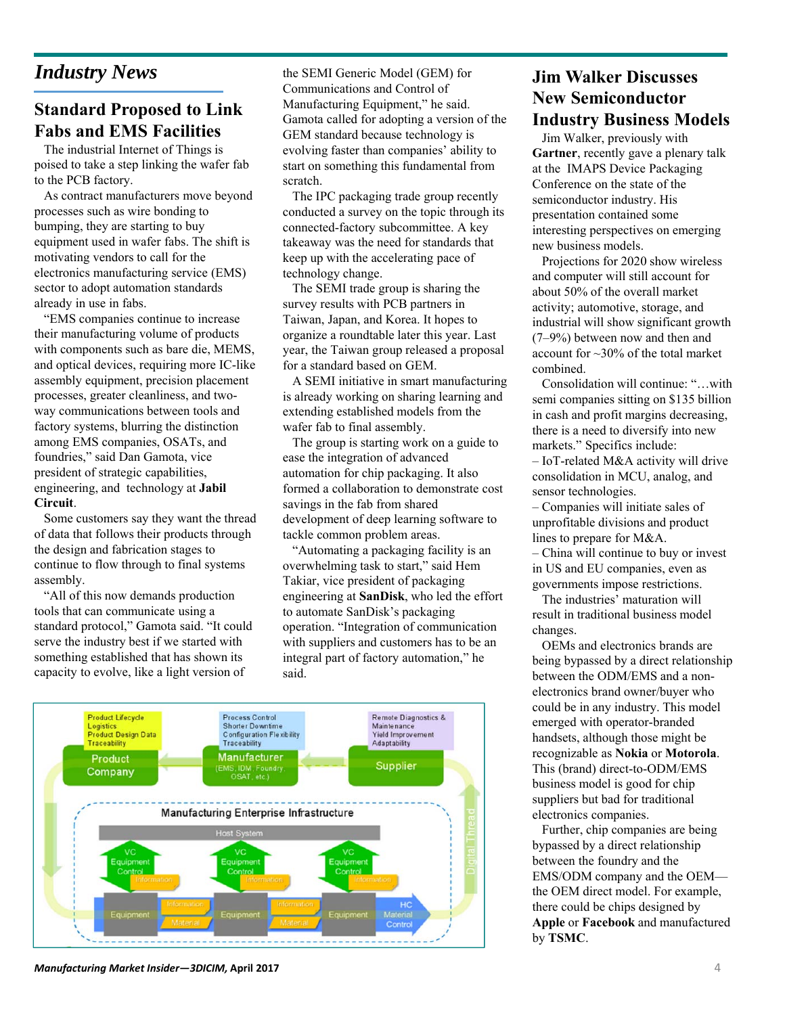# *Industry News*

## **Standard Proposed to Link Fabs and EMS Facilities**

The industrial Internet of Things is poised to take a step linking the wafer fab to the PCB factory.

As contract manufacturers move beyond processes such as wire bonding to bumping, they are starting to buy equipment used in wafer fabs. The shift is motivating vendors to call for the electronics manufacturing service (EMS) sector to adopt automation standards already in use in fabs.

"EMS companies continue to increase their manufacturing volume of products with components such as bare die, MEMS, and optical devices, requiring more IC-like assembly equipment, precision placement processes, greater cleanliness, and twoway communications between tools and factory systems, blurring the distinction among EMS companies, OSATs, and foundries," said Dan Gamota, vice president of strategic capabilities, engineering, and technology at **Jabil Circuit**.

Some customers say they want the thread of data that follows their products through the design and fabrication stages to continue to flow through to final systems assembly.

"All of this now demands production tools that can communicate using a standard protocol," Gamota said. "It could serve the industry best if we started with something established that has shown its capacity to evolve, like a light version of

the SEMI Generic Model (GEM) for Communications and Control of Manufacturing Equipment," he said. Gamota called for adopting a version of the GEM standard because technology is evolving faster than companies' ability to start on something this fundamental from scratch.

The IPC packaging trade group recently conducted a survey on the topic through its connected-factory subcommittee. A key takeaway was the need for standards that keep up with the accelerating pace of technology change.

The SEMI trade group is sharing the survey results with PCB partners in Taiwan, Japan, and Korea. It hopes to organize a roundtable later this year. Last year, the Taiwan group released a proposal for a standard based on GEM.

A SEMI initiative in smart manufacturing is already working on sharing learning and extending established models from the wafer fab to final assembly.

The group is starting work on a guide to ease the integration of advanced automation for chip packaging. It also formed a collaboration to demonstrate cost savings in the fab from shared development of deep learning software to tackle common problem areas.

"Automating a packaging facility is an overwhelming task to start," said Hem Takiar, vice president of packaging engineering at **SanDisk**, who led the effort to automate SanDisk's packaging operation. "Integration of communication with suppliers and customers has to be an integral part of factory automation," he said.



*Manufacturing Market Insider—3DICIM,* **April 2017** 4

#### **Jim Walker Discusses New Semiconductor Industry Business Models**

Jim Walker, previously with **Gartner**, recently gave a plenary talk at the IMAPS Device Packaging Conference on the state of the semiconductor industry. His presentation contained some interesting perspectives on emerging new business models.

Projections for 2020 show wireless and computer will still account for about 50% of the overall market activity; automotive, storage, and industrial will show significant growth (7–9%) between now and then and account for ~30% of the total market combined.

Consolidation will continue: "…with semi companies sitting on \$135 billion in cash and profit margins decreasing, there is a need to diversify into new markets." Specifics include: – IoT-related M&A activity will drive consolidation in MCU, analog, and sensor technologies.

– Companies will initiate sales of unprofitable divisions and product lines to prepare for M&A.

– China will continue to buy or invest in US and EU companies, even as governments impose restrictions.

The industries' maturation will result in traditional business model changes.

OEMs and electronics brands are being bypassed by a direct relationship between the ODM/EMS and a nonelectronics brand owner/buyer who could be in any industry. This model emerged with operator-branded handsets, although those might be recognizable as **Nokia** or **Motorola**. This (brand) direct-to-ODM/EMS business model is good for chip suppliers but bad for traditional electronics companies.

Further, chip companies are being bypassed by a direct relationship between the foundry and the EMS/ODM company and the OEM the OEM direct model. For example, there could be chips designed by **Apple** or **Facebook** and manufactured by **TSMC**.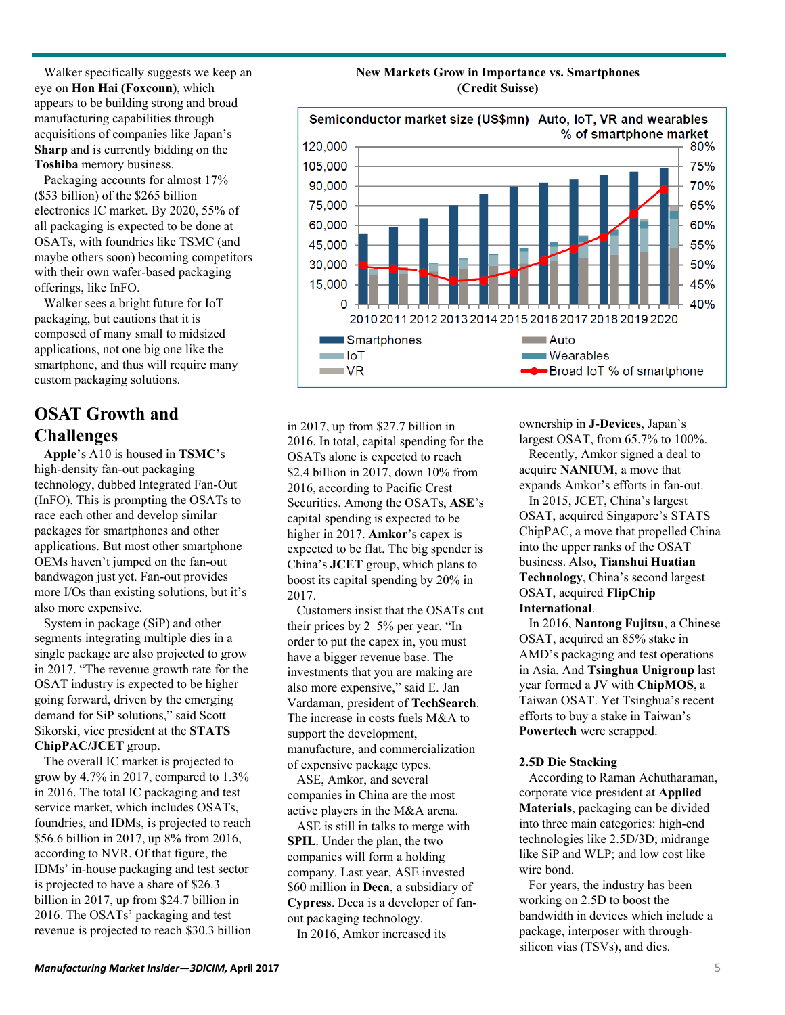Walker specifically suggests we keep an eye on **Hon Hai (Foxconn)**, which appears to be building strong and broad manufacturing capabilities through acquisitions of companies like Japan's **Sharp** and is currently bidding on the **Toshiba** memory business.

Packaging accounts for almost 17% (\$53 billion) of the \$265 billion electronics IC market. By 2020, 55% of all packaging is expected to be done at OSATs, with foundries like TSMC (and maybe others soon) becoming competitors with their own wafer-based packaging offerings, like InFO.

Walker sees a bright future for IoT packaging, but cautions that it is composed of many small to midsized applications, not one big one like the smartphone, and thus will require many custom packaging solutions.

## **OSAT Growth and Challenges**

**Apple**'s A10 is housed in **TSMC**'s high-density fan-out packaging technology, dubbed Integrated Fan-Out (InFO). This is prompting the OSATs to race each other and develop similar packages for smartphones and other applications. But most other smartphone OEMs haven't jumped on the fan-out bandwagon just yet. Fan-out provides more I/Os than existing solutions, but it's also more expensive.

System in package (SiP) and other segments integrating multiple dies in a single package are also projected to grow in 2017. "The revenue growth rate for the OSAT industry is expected to be higher going forward, driven by the emerging demand for SiP solutions," said Scott Sikorski, vice president at the **STATS ChipPAC/JCET** group.

The overall IC market is projected to grow by 4.7% in 2017, compared to 1.3% in 2016. The total IC packaging and test service market, which includes OSATs, foundries, and IDMs, is projected to reach \$56.6 billion in 2017, up 8% from 2016, according to NVR. Of that figure, the IDMs' in-house packaging and test sector is projected to have a share of \$26.3 billion in 2017, up from \$24.7 billion in 2016. The OSATs' packaging and test revenue is projected to reach \$30.3 billion





in 2017, up from \$27.7 billion in 2016. In total, capital spending for the OSATs alone is expected to reach \$2.4 billion in 2017, down 10% from 2016, according to Pacific Crest Securities. Among the OSATs, **ASE**'s capital spending is expected to be higher in 2017. **Amkor**'s capex is expected to be flat. The big spender is China's **JCET** group, which plans to boost its capital spending by 20% in 2017.

Customers insist that the OSATs cut their prices by 2–5% per year. "In order to put the capex in, you must have a bigger revenue base. The investments that you are making are also more expensive," said E. Jan Vardaman, president of **TechSearch**. The increase in costs fuels M&A to support the development, manufacture, and commercialization of expensive package types.

ASE, Amkor, and several companies in China are the most active players in the M&A arena.

ASE is still in talks to merge with **SPIL**. Under the plan, the two companies will form a holding company. Last year, ASE invested \$60 million in **Deca**, a subsidiary of **Cypress**. Deca is a developer of fanout packaging technology.

In 2016, Amkor increased its

ownership in **J-Devices**, Japan's largest OSAT, from 65.7% to 100%. Recently, Amkor signed a deal to

acquire **NANIUM**, a move that expands Amkor's efforts in fan-out.

In 2015, JCET, China's largest OSAT, acquired Singapore's STATS ChipPAC, a move that propelled China into the upper ranks of the OSAT business. Also, **Tianshui Huatian Technology**, China's second largest OSAT, acquired **FlipChip International**.

In 2016, **Nantong Fujitsu**, a Chinese OSAT, acquired an 85% stake in AMD's packaging and test operations in Asia. And **Tsinghua Unigroup** last year formed a JV with **ChipMOS**, a Taiwan OSAT. Yet Tsinghua's recent efforts to buy a stake in Taiwan's **Powertech** were scrapped.

#### **2.5D Die Stacking**

According to Raman Achutharaman, corporate vice president at **Applied Materials**, packaging can be divided into three main categories: high-end technologies like 2.5D/3D; midrange like SiP and WLP; and low cost like wire bond.

For years, the industry has been working on 2.5D to boost the bandwidth in devices which include a package, interposer with throughsilicon vias (TSVs), and dies.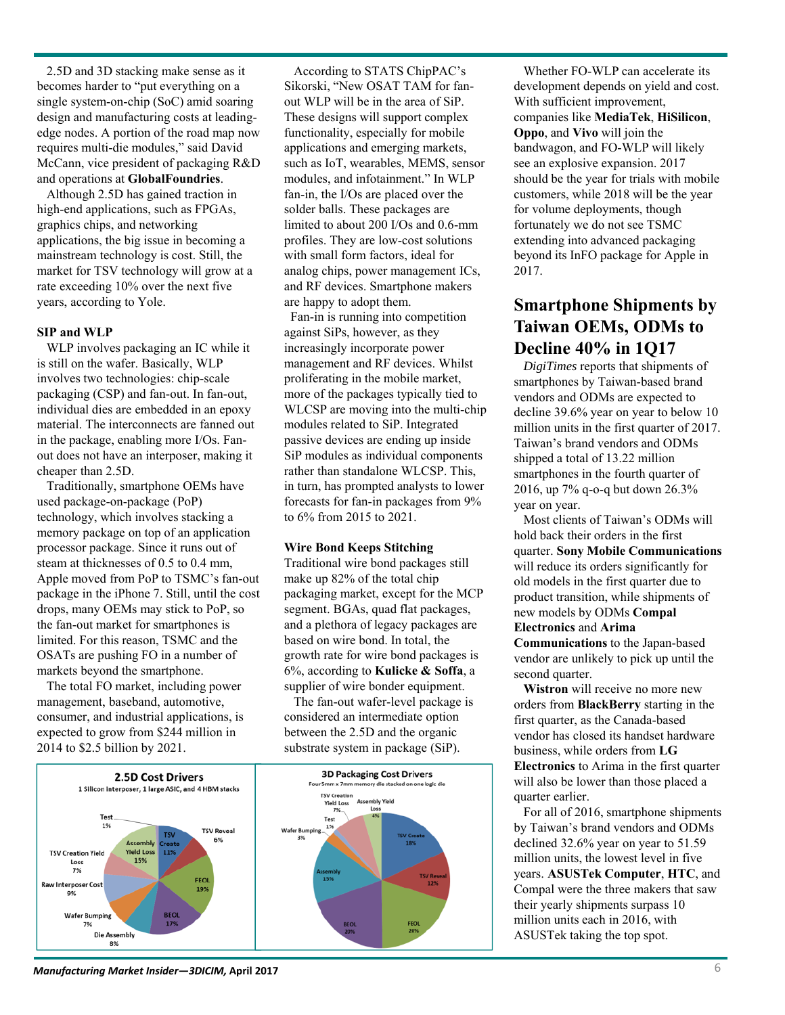19%

**BEOL** 

2.5D and 3D stacking make sense as it becomes harder to "put everything on a single system-on-chip (SoC) amid soaring design and manufacturing costs at leadingedge nodes. A portion of the road map now requires multi-die modules," said David McCann, vice president of packaging R&D and operations at **GlobalFoundries**.

Although 2.5D has gained traction in high-end applications, such as FPGAs, graphics chips, and networking applications, the big issue in becoming a mainstream technology is cost. Still, the market for TSV technology will grow at a rate exceeding 10% over the next five years, according to Yole.

#### **SIP and WLP**

WLP involves packaging an IC while it is still on the wafer. Basically, WLP involves two technologies: chip-scale packaging (CSP) and fan-out. In fan-out, individual dies are embedded in an epoxy material. The interconnects are fanned out in the package, enabling more I/Os. Fanout does not have an interposer, making it cheaper than 2.5D.

Traditionally, smartphone OEMs have used package-on-package (PoP) technology, which involves stacking a memory package on top of an application processor package. Since it runs out of steam at thicknesses of 0.5 to 0.4 mm, Apple moved from PoP to TSMC's fan-out package in the iPhone 7. Still, until the cost drops, many OEMs may stick to PoP, so the fan-out market for smartphones is limited. For this reason, TSMC and the OSATs are pushing FO in a number of markets beyond the smartphone.

The total FO market, including power management, baseband, automotive, consumer, and industrial applications, is expected to grow from \$244 million in 2014 to \$2.5 billion by 2021.

Test

**Die Assembly** 

**TSV Creation Yield** 

Loss **Raw Interposer Cost** 

**Wafer Bumping** 

According to STATS ChipPAC's Sikorski, "New OSAT TAM for fanout WLP will be in the area of SiP. These designs will support complex functionality, especially for mobile applications and emerging markets, such as IoT, wearables, MEMS, sensor modules, and infotainment." In WLP fan-in, the I/Os are placed over the solder balls. These packages are limited to about 200 I/Os and 0.6-mm profiles. They are low-cost solutions with small form factors, ideal for analog chips, power management ICs, and RF devices. Smartphone makers are happy to adopt them.

Fan-in is running into competition against SiPs, however, as they increasingly incorporate power management and RF devices. Whilst proliferating in the mobile market, more of the packages typically tied to WLCSP are moving into the multi-chip modules related to SiP. Integrated passive devices are ending up inside SiP modules as individual components rather than standalone WLCSP. This, in turn, has prompted analysts to lower forecasts for fan-in packages from 9% to 6% from 2015 to 2021.

#### **Wire Bond Keeps Stitching**

Traditional wire bond packages still make up 82% of the total chip packaging market, except for the MCP segment. BGAs, quad flat packages, and a plethora of legacy packages are based on wire bond. In total, the growth rate for wire bond packages is 6%, according to **Kulicke & Soffa**, a supplier of wire bonder equipment.

The fan-out wafer-level package is considered an intermediate option between the 2.5D and the organic substrate system in package (SiP).

Whether FO-WLP can accelerate its development depends on yield and cost. With sufficient improvement, companies like **MediaTek**, **HiSilicon**, **Oppo**, and **Vivo** will join the bandwagon, and FO-WLP will likely see an explosive expansion. 2017 should be the year for trials with mobile customers, while 2018 will be the year for volume deployments, though fortunately we do not see TSMC extending into advanced packaging beyond its InFO package for Apple in 2017.

### **Smartphone Shipments by Taiwan OEMs, ODMs to Decline 40% in 1Q17**

*DigiTimes* reports that shipments of smartphones by Taiwan-based brand vendors and ODMs are expected to decline 39.6% year on year to below 10 million units in the first quarter of 2017. Taiwan's brand vendors and ODMs shipped a total of 13.22 million smartphones in the fourth quarter of 2016, up 7% q-o-q but down 26.3% year on year.

Most clients of Taiwan's ODMs will hold back their orders in the first quarter. **Sony Mobile Communications**  will reduce its orders significantly for old models in the first quarter due to product transition, while shipments of new models by ODMs **Compal Electronics** and **Arima Communications** to the Japan-based

vendor are unlikely to pick up until the second quarter.

**Wistron** will receive no more new orders from **BlackBerry** starting in the first quarter, as the Canada-based vendor has closed its handset hardware business, while orders from **LG Electronics** to Arima in the first quarter will also be lower than those placed a quarter earlier.

For all of 2016, smartphone shipments by Taiwan's brand vendors and ODMs declined 32.6% year on year to 51.59 million units, the lowest level in five years. **ASUSTek Computer**, **HTC**, and Compal were the three makers that saw their yearly shipments surpass 10 million units each in 2016, with ASUSTek taking the top spot.

**3D Packaging Cost Drivers** 2.5D Cost Drivers Smm x 7mm 1 Silicon interposer, 1 large ASIC, and 4 HBM stacks **TSV Creation Assembly Yield Yield Loss** 7% Test 1% **TSV Reveal** Wafer Bumping 6% 11% **Yield Loss** 15%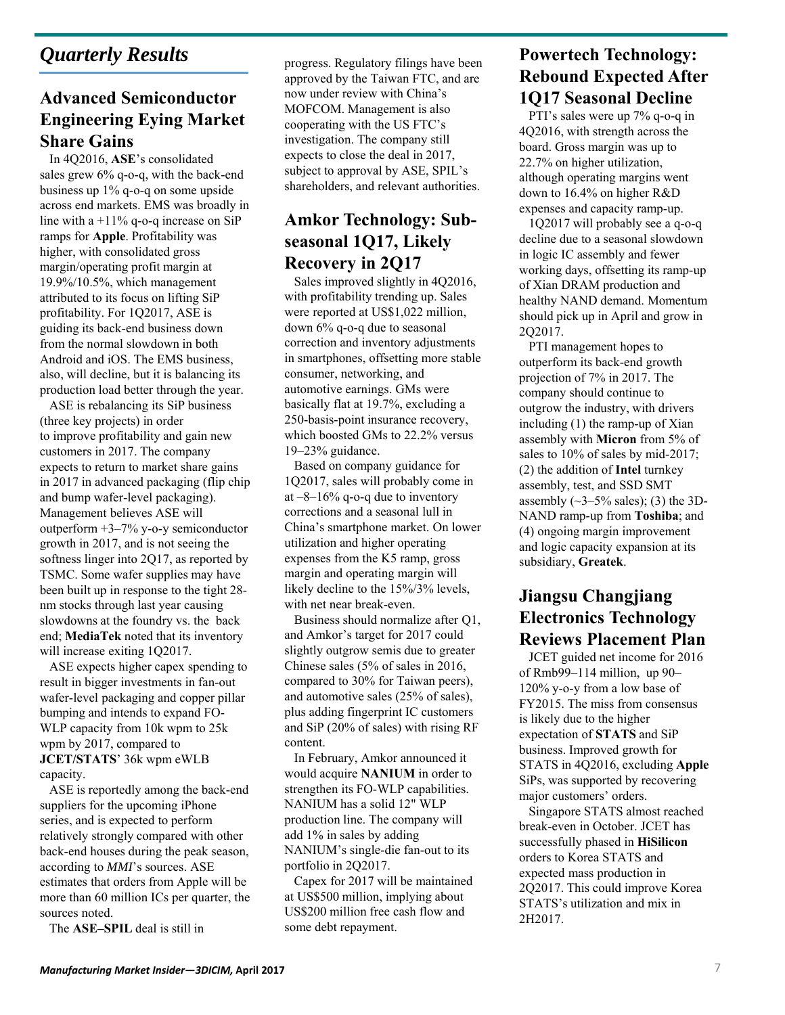# *Quarterly Results*

## **Advanced Semiconductor Engineering Eying Market Share Gains**

In 4Q2016, **ASE**'s consolidated sales grew 6% q-o-q, with the back-end business up 1% q-o-q on some upside across end markets. EMS was broadly in line with a  $+11\%$  q-o-q increase on SiP ramps for **Apple**. Profitability was higher, with consolidated gross margin/operating profit margin at 19.9%/10.5%, which management attributed to its focus on lifting SiP profitability. For 1Q2017, ASE is guiding its back-end business down from the normal slowdown in both Android and iOS. The EMS business, also, will decline, but it is balancing its production load better through the year.

ASE is rebalancing its SiP business (three key projects) in order to improve profitability and gain new customers in 2017. The company expects to return to market share gains in 2017 in advanced packaging (flip chip and bump wafer-level packaging). Management believes ASE will outperform +3–7% y-o-y semiconductor growth in 2017, and is not seeing the softness linger into 2Q17, as reported by TSMC. Some wafer supplies may have been built up in response to the tight 28 nm stocks through last year causing slowdowns at the foundry vs. the back end; **MediaTek** noted that its inventory will increase exiting 1Q2017.

ASE expects higher capex spending to result in bigger investments in fan-out wafer-level packaging and copper pillar bumping and intends to expand FO-WLP capacity from 10k wpm to 25k wpm by 2017, compared to **JCET/STATS**' 36k wpm eWLB capacity.

ASE is reportedly among the back-end suppliers for the upcoming iPhone series, and is expected to perform relatively strongly compared with other back-end houses during the peak season, according to *MMI*'s sources. ASE estimates that orders from Apple will be more than 60 million ICs per quarter, the sources noted.

The **ASE–SPIL** deal is still in

progress. Regulatory filings have been approved by the Taiwan FTC, and are now under review with China's MOFCOM. Management is also cooperating with the US FTC's investigation. The company still expects to close the deal in 2017, subject to approval by ASE, SPIL's shareholders, and relevant authorities.

#### **Amkor Technology: Subseasonal 1Q17, Likely Recovery in 2Q17**

Sales improved slightly in 4Q2016, with profitability trending up. Sales were reported at US\$1,022 million, down 6% q-o-q due to seasonal correction and inventory adjustments in smartphones, offsetting more stable consumer, networking, and automotive earnings. GMs were basically flat at 19.7%, excluding a 250-basis-point insurance recovery, which boosted GMs to 22.2% versus 19–23% guidance.

Based on company guidance for 1Q2017, sales will probably come in at  $-8-16\%$  q-o-q due to inventory corrections and a seasonal lull in China's smartphone market. On lower utilization and higher operating expenses from the K5 ramp, gross margin and operating margin will likely decline to the 15%/3% levels, with net near break-even.

Business should normalize after Q1, and Amkor's target for 2017 could slightly outgrow semis due to greater Chinese sales (5% of sales in 2016, compared to 30% for Taiwan peers), and automotive sales (25% of sales), plus adding fingerprint IC customers and SiP (20% of sales) with rising RF content.

In February, Amkor announced it would acquire **NANIUM** in order to strengthen its FO-WLP capabilities. NANIUM has a solid 12" WLP production line. The company will add 1% in sales by adding NANIUM's single-die fan-out to its portfolio in 2Q2017.

Capex for 2017 will be maintained at US\$500 million, implying about US\$200 million free cash flow and some debt repayment.

# **Powertech Technology: Rebound Expected After 1Q17 Seasonal Decline**

PTI's sales were up 7% q-o-q in 4Q2016, with strength across the board. Gross margin was up to 22.7% on higher utilization, although operating margins went down to 16.4% on higher R&D expenses and capacity ramp-up.

1Q2017 will probably see a q-o-q decline due to a seasonal slowdown in logic IC assembly and fewer working days, offsetting its ramp-up of Xian DRAM production and healthy NAND demand. Momentum should pick up in April and grow in 2Q2017.

PTI management hopes to outperform its back-end growth projection of 7% in 2017. The company should continue to outgrow the industry, with drivers including (1) the ramp-up of Xian assembly with **Micron** from 5% of sales to 10% of sales by mid-2017; (2) the addition of **Intel** turnkey assembly, test, and SSD SMT assembly  $(\sim3-5\%$  sales); (3) the 3D-NAND ramp-up from **Toshiba**; and (4) ongoing margin improvement and logic capacity expansion at its subsidiary, **Greatek**.

### **Jiangsu Changjiang Electronics Technology Reviews Placement Plan**

JCET guided net income for 2016 of Rmb99–114 million, up 90– 120% y-o-y from a low base of FY2015. The miss from consensus is likely due to the higher expectation of **STATS** and SiP business. Improved growth for STATS in 4Q2016, excluding **Apple**  SiPs, was supported by recovering major customers' orders.

Singapore STATS almost reached break-even in October. JCET has successfully phased in **HiSilicon** orders to Korea STATS and expected mass production in 2Q2017. This could improve Korea STATS's utilization and mix in 2H2017.